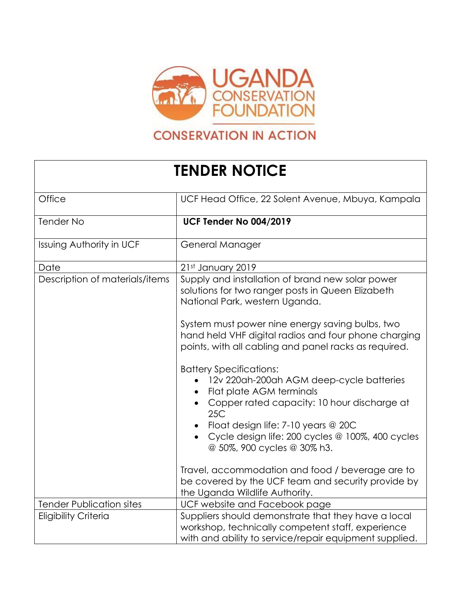

## **CONSERVATION IN ACTION**

## **TENDER NOTICE**

| Office                          | UCF Head Office, 22 Solent Avenue, Mbuya, Kampala                                                                                                                                                                                                                                      |
|---------------------------------|----------------------------------------------------------------------------------------------------------------------------------------------------------------------------------------------------------------------------------------------------------------------------------------|
| <b>Tender No</b>                | UCF Tender No 004/2019                                                                                                                                                                                                                                                                 |
| <b>Issuing Authority in UCF</b> | General Manager                                                                                                                                                                                                                                                                        |
| Date                            | 21st January 2019                                                                                                                                                                                                                                                                      |
| Description of materials/items  | Supply and installation of brand new solar power<br>solutions for two ranger posts in Queen Elizabeth<br>National Park, western Uganda.                                                                                                                                                |
|                                 | System must power nine energy saving bulbs, two<br>hand held VHF digital radios and four phone charging<br>points, with all cabling and panel racks as required.                                                                                                                       |
|                                 | <b>Battery Specifications:</b><br>12v 220ah-200ah AGM deep-cycle batteries<br>Flat plate AGM terminals<br>Copper rated capacity: 10 hour discharge at<br>25C<br>Float design life: 7-10 years @ 20C<br>Cycle design life: 200 cycles @ 100%, 400 cycles<br>@ 50%, 900 cycles @ 30% h3. |
|                                 | Travel, accommodation and food / beverage are to<br>be covered by the UCF team and security provide by<br>the Uganda Wildlife Authority.                                                                                                                                               |
| <b>Tender Publication sites</b> | UCF website and Facebook page                                                                                                                                                                                                                                                          |
| <b>Eligibility Criteria</b>     | Suppliers should demonstrate that they have a local<br>workshop, technically competent staff, experience<br>with and ability to service/repair equipment supplied.                                                                                                                     |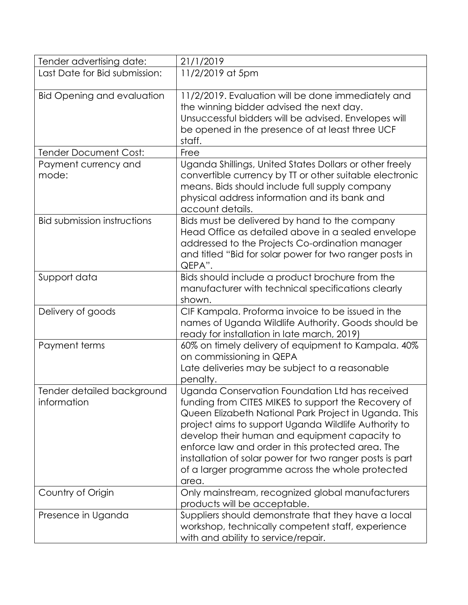| Tender advertising date:                  | 21/1/2019                                                                                                                                                                                                                                                                                                                                                                                                                                              |
|-------------------------------------------|--------------------------------------------------------------------------------------------------------------------------------------------------------------------------------------------------------------------------------------------------------------------------------------------------------------------------------------------------------------------------------------------------------------------------------------------------------|
| Last Date for Bid submission:             | 11/2/2019 at 5pm                                                                                                                                                                                                                                                                                                                                                                                                                                       |
| <b>Bid Opening and evaluation</b>         | 11/2/2019. Evaluation will be done immediately and<br>the winning bidder advised the next day.<br>Unsuccessful bidders will be advised. Envelopes will<br>be opened in the presence of at least three UCF<br>staff.                                                                                                                                                                                                                                    |
| <b>Tender Document Cost:</b>              | Free                                                                                                                                                                                                                                                                                                                                                                                                                                                   |
| Payment currency and<br>mode:             | Uganda Shillings, United States Dollars or other freely<br>convertible currency by TT or other suitable electronic<br>means. Bids should include full supply company<br>physical address information and its bank and<br>account details.                                                                                                                                                                                                              |
| <b>Bid submission instructions</b>        | Bids must be delivered by hand to the company<br>Head Office as detailed above in a sealed envelope<br>addressed to the Projects Co-ordination manager<br>and titled "Bid for solar power for two ranger posts in<br>QEPA".                                                                                                                                                                                                                            |
| Support data                              | Bids should include a product brochure from the<br>manufacturer with technical specifications clearly<br>shown.                                                                                                                                                                                                                                                                                                                                        |
| Delivery of goods                         | CIF Kampala. Proforma invoice to be issued in the<br>names of Uganda Wildlife Authority. Goods should be<br>ready for installation in late march, 2019)                                                                                                                                                                                                                                                                                                |
| Payment terms                             | 60% on timely delivery of equipment to Kampala. 40%<br>on commissioning in QEPA<br>Late deliveries may be subject to a reasonable<br>penalty.                                                                                                                                                                                                                                                                                                          |
| Tender detailed background<br>information | Uganda Conservation Foundation Ltd has received<br>funding from CITES MIKES to support the Recovery of<br>Queen Elizabeth National Park Project in Uganda. This<br>project aims to support Uganda Wildlife Authority to<br>develop their human and equipment capacity to<br>enforce law and order in this protected area. The<br>installation of solar power for two ranger posts is part<br>of a larger programme across the whole protected<br>area. |
| Country of Origin                         | Only mainstream, recognized global manufacturers<br>products will be acceptable.                                                                                                                                                                                                                                                                                                                                                                       |
| Presence in Uganda                        | Suppliers should demonstrate that they have a local<br>workshop, technically competent staff, experience<br>with and ability to service/repair.                                                                                                                                                                                                                                                                                                        |